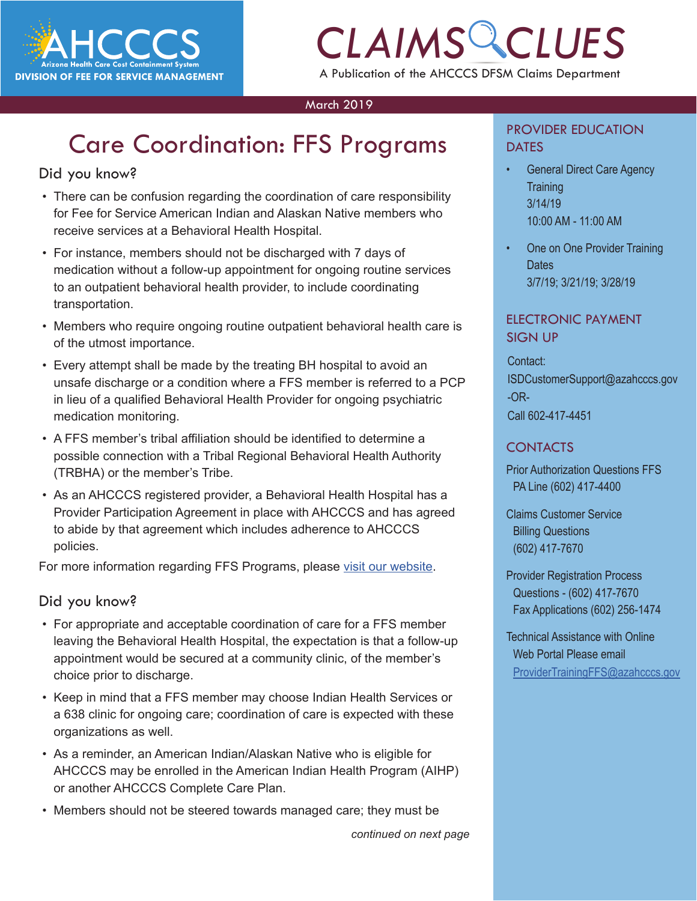

# *CLAIMS CLUES* A Publication of the AHCCCS DFSM Claims Department

### March 2019

# Care Coordination: FFS Programs

### Did you know?

- There can be confusion regarding the coordination of care responsibility for Fee for Service American Indian and Alaskan Native members who receive services at a Behavioral Health Hospital.
- For instance, members should not be discharged with 7 days of medication without a follow-up appointment for ongoing routine services to an outpatient behavioral health provider, to include coordinating transportation.
- Members who require ongoing routine outpatient behavioral health care is of the utmost importance.
- Every attempt shall be made by the treating BH hospital to avoid an unsafe discharge or a condition where a FFS member is referred to a PCP in lieu of a qualified Behavioral Health Provider for ongoing psychiatric medication monitoring.
- A FFS member's tribal affiliation should be identified to determine a possible connection with a Tribal Regional Behavioral Health Authority (TRBHA) or the member's Tribe.
- As an AHCCCS registered provider, a Behavioral Health Hospital has a Provider Participation Agreement in place with AHCCCS and has agreed to abide by that agreement which includes adherence to AHCCCS policies.

For more information regarding FFS Programs, please [visit our website](https://www.azahcccs.gov/AmericanIndians/AIHP/).

### Did you know?

- For appropriate and acceptable coordination of care for a FFS member leaving the Behavioral Health Hospital, the expectation is that a follow-up appointment would be secured at a community clinic, of the member's choice prior to discharge.
- Keep in mind that a FFS member may choose Indian Health Services or a 638 clinic for ongoing care; coordination of care is expected with these organizations as well.
- As a reminder, an American Indian/Alaskan Native who is eligible for AHCCCS may be enrolled in the American Indian Health Program (AIHP) or another AHCCCS Complete Care Plan.
- Members should not be steered towards managed care; they must be

*continued on next page*

### PROVIDER EDUCATION **DATES**

- **COMIS**<br>
Ceneral Direct Care Agency<br>
Training • General Direct Care Agency **Training** 3/14/19 10:00 AM - 11:00 AM
	- One on One Provider Training **Dates** 3/7/19; 3/21/19; 3/28/19

### ELECTRONIC PAYMENT SIGN UP

Contact: ISDCustomerSupport@azahcccs.gov -OR-Call 602-417-4451

### CONTACTS

Prior Authorization Questions FFS PA Line (602) 417-4400

Claims Customer Service Billing Questions (602) 417-7670

Provider Registration Process Questions - (602) 417-7670 Fax Applications (602) 256-1474

Technical Assistance with Online Web Portal Please email [ProviderTrainingFFS@azahcccs.gov](mailto:ProviderTrainingFFS%40azahcccs.gov%20?subject=)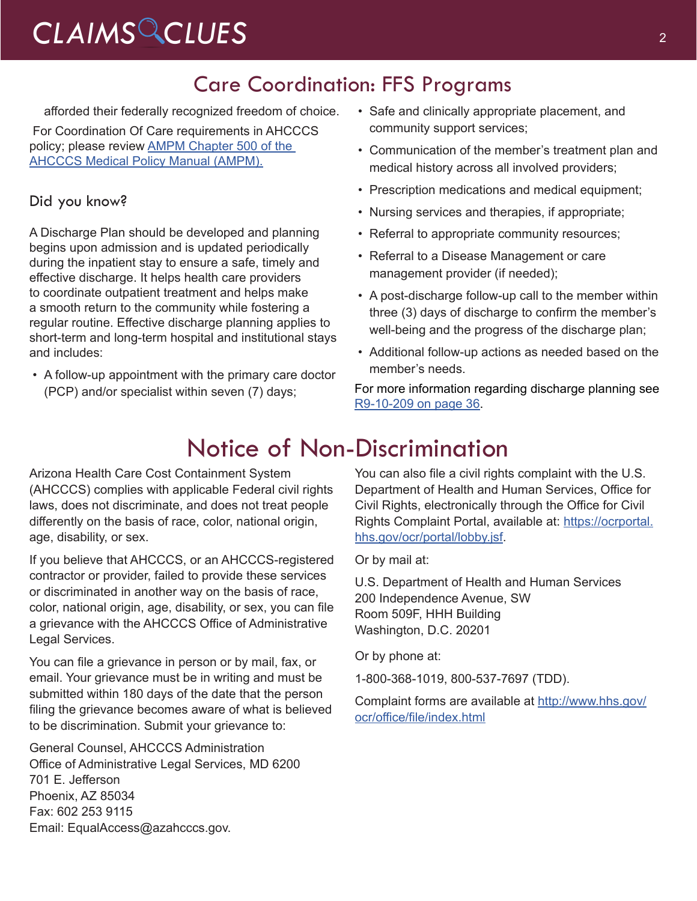# *CLAIMS CLUES* <sup>2</sup>

### Care Coordination: FFS Programs

afforded their federally recognized freedom of choice.

 For Coordination Of Care requirements in AHCCCS policy; please review AMPM Chapter 500 of the [AHCCCS Medical Policy Manual \(AMPM\).](https://www.azahcccs.gov/shared/MedicalPolicyManual/)

### Did you know?

A Discharge Plan should be developed and planning begins upon admission and is updated periodically during the inpatient stay to ensure a safe, timely and effective discharge. It helps health care providers to coordinate outpatient treatment and helps make a smooth return to the community while fostering a regular routine. Effective discharge planning applies to short-term and long-term hospital and institutional stays and includes:

• A follow-up appointment with the primary care doctor (PCP) and/or specialist within seven (7) days;

- Safe and clinically appropriate placement, and community support services;
- Communication of the member's treatment plan and medical history across all involved providers;
- Prescription medications and medical equipment;
- Nursing services and therapies, if appropriate;
- Referral to appropriate community resources;
- Referral to a Disease Management or care management provider (if needed);
- A post-discharge follow-up call to the member within three (3) days of discharge to confirm the member's well-being and the progress of the discharge plan;
- Additional follow-up actions as needed based on the member's needs.

For more information regarding discharge planning see [R9-10-209 on page 36.](https://apps.azsos.gov/public_services/Title_09/9-10.pdf)

## Notice of Non-Discrimination

Arizona Health Care Cost Containment System (AHCCCS) complies with applicable Federal civil rights laws, does not discriminate, and does not treat people differently on the basis of race, color, national origin, age, disability, or sex.

If you believe that AHCCCS, or an AHCCCS-registered contractor or provider, failed to provide these services or discriminated in another way on the basis of race, color, national origin, age, disability, or sex, you can file a grievance with the AHCCCS Office of Administrative Legal Services.

You can file a grievance in person or by mail, fax, or email. Your grievance must be in writing and must be submitted within 180 days of the date that the person filing the grievance becomes aware of what is believed to be discrimination. Submit your grievance to:

General Counsel, AHCCCS Administration Office of Administrative Legal Services, MD 6200 701 E. Jefferson Phoenix, AZ 85034 Fax: 602 253 9115 Email: EqualAccess@azahcccs.gov.

You can also file a civil rights complaint with the U.S. Department of Health and Human Services, Office for Civil Rights, electronically through the Office for Civil Rights Complaint Portal, available at: [https://ocrportal.](https://ocrportal.hhs.gov/ocr/portal/lobby.jsf) [hhs.gov/ocr/portal/lobby.jsf.](https://ocrportal.hhs.gov/ocr/portal/lobby.jsf)

Or by mail at:

U.S. Department of Health and Human Services 200 Independence Avenue, SW Room 509F, HHH Building Washington, D.C. 20201

Or by phone at:

1-800-368-1019, 800-537-7697 (TDD).

Complaint forms are available at [http://www.hhs.gov/](http://www.hhs.gov/ocr/office/file/index.html
) [ocr/office/file/index.html](http://www.hhs.gov/ocr/office/file/index.html
)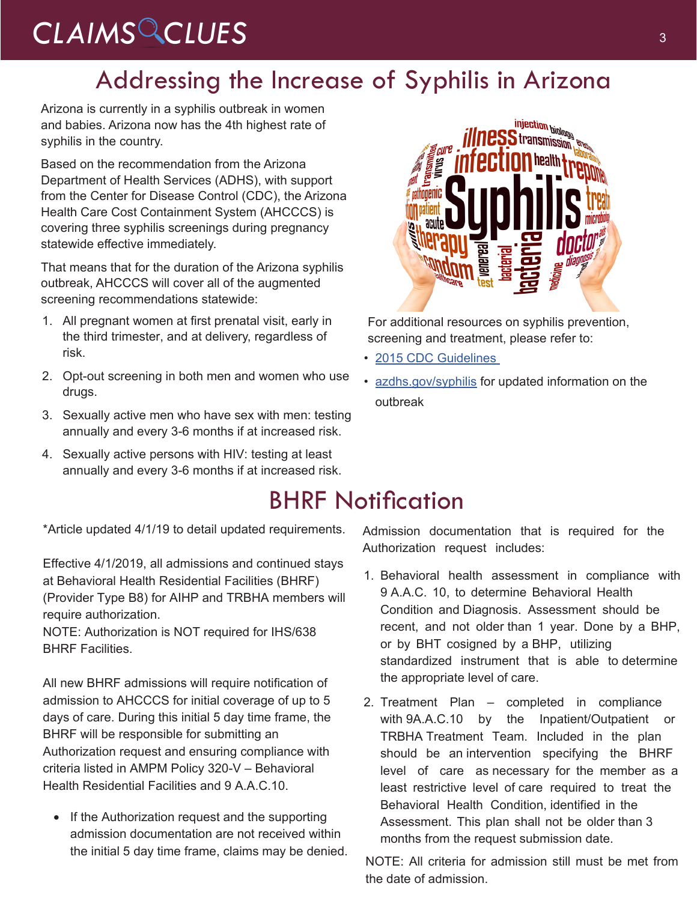# CLAIMS CLUES<sup>3</sup>

## Addressing the Increase of Syphilis in Arizona

Arizona is currently in a syphilis outbreak in women and babies. Arizona now has the 4th highest rate of syphilis in the country.

Based on the recommendation from the Arizona Department of Health Services (ADHS), with support from the Center for Disease Control (CDC), the Arizona Health Care Cost Containment System (AHCCCS) is covering three syphilis screenings during pregnancy statewide effective immediately.

That means that for the duration of the Arizona syphilis outbreak, AHCCCS will cover all of the augmented screening recommendations statewide:

- 1. All pregnant women at first prenatal visit, early in the third trimester, and at delivery, regardless of risk.
- 2. Opt-out screening in both men and women who use drugs.
- 3. Sexually active men who have sex with men: testing annually and every 3-6 months if at increased risk.
- 4. Sexually active persons with HIV: testing at least annually and every 3-6 months if at increased risk.

\*Article updated 4/1/19 to detail updated requirements.

Effective 4/1/2019, all admissions and continued stays at Behavioral Health Residential Facilities (BHRF) (Provider Type B8) for AIHP and TRBHA members will require authorization.

NOTE: Authorization is NOT required for IHS/638 BHRF Facilities.

All new BHRF admissions will require notification of admission to AHCCCS for initial coverage of up to 5 days of care. During this initial 5 day time frame, the BHRF will be responsible for submitting an Authorization request and ensuring compliance with criteria listed in AMPM Policy 320-V – Behavioral Health Residential Facilities and 9 A.A.C.10.

• If the Authorization request and the supporting admission documentation are not received within the initial 5 day time frame, claims may be denied.



For additional resources on syphilis prevention, screening and treatment, please refer to:

- 2015 CDC Guidelines
- [azdhs.gov/syphilis](http://azdhs.gov/syphilis) for updated information on the outbreak

## BHRF Notification

Admission documentation that is required for the Authorization request includes:

- 1. Behavioral health assessment in compliance with 9 A.A.C. 10, to determine Behavioral Health Condition and Diagnosis. Assessment should be recent, and not older than 1 year. Done by a BHP, or by BHT cosigned by a BHP, utilizing standardized instrument that is able to determine the appropriate level of care.
- 2. Treatment Plan completed in compliance with 9A.A.C.10 by the Inpatient/Outpatient or TRBHA Treatment Team. Included in the plan should be an intervention specifying the BHRF level of care as necessary for the member as a least restrictive level of care required to treat the Behavioral Health Condition, identified in the Assessment. This plan shall [not be ol](https://www.azahcccs.gov/Resources/Training/DFSM_Training.html)der than 3 months from the request submission date.

NOTE: All criteria for admission still must be met from the date of admission.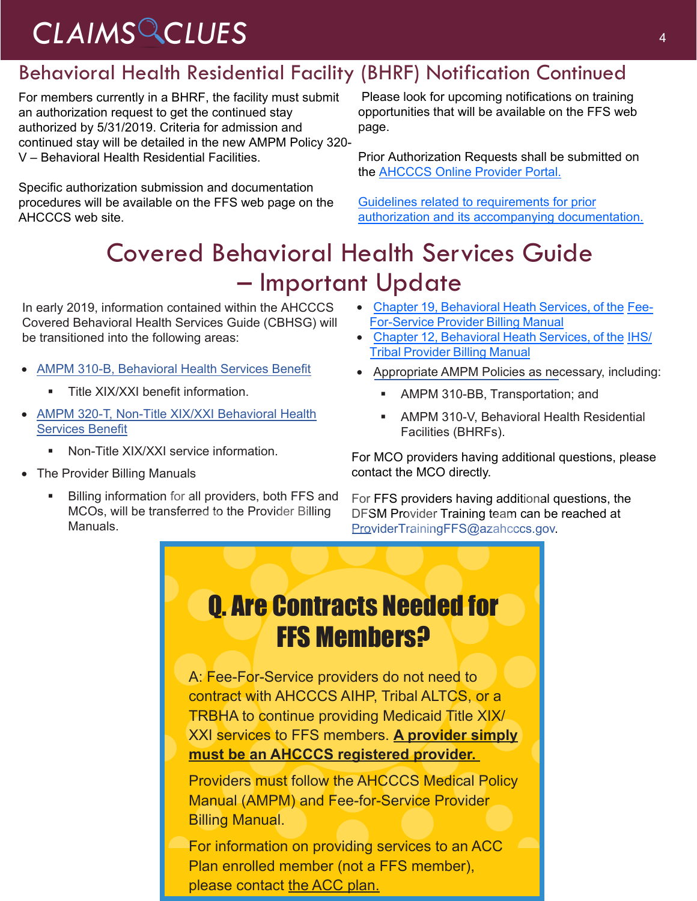# *CLAIMS CLUES* <sup>4</sup>

### Behavioral Health Residential Facility (BHRF) Notification Continued

For members currently in a BHRF, the facility must submit an authorization request to get the continued stay authorized by 5/31/2019. Criteria for admission and continued stay will be detailed in the new AMPM Policy 320- V – Behavioral Health Residential Facilities.

Specific authorization submission and documentation procedures will be available on the FFS web page on the AHCCCS web site.

 Please look for upcoming notifications on training opportunities that will be available on the FFS web page.

Prior Autho[rization Requests shall be submitted on](https://www.azahcccs.gov/PlansProviders/Downloads/IHS-TribalManual/IHS-Chap12BehavioralHealth.pdf)  the [AHCCCS Online Provider Portal.](https://azweb.statemedicaid.us/Account/Login.aspx?ReturnUrl=%2f)

Guidelines related to requirements for prior [authorization and its accompanying documentation](https://www.azahcccs.gov/PlansProviders/FeeForServiceHealthPlans/PriorAuthorization/requirements.html).

# Covered Behavioral Health Services Guide – Important Update

In early 2019, information contained within the AHCCCS Covered Behavioral Health Services Guide (CBHSG) will be transitioned into the following areas:

- [AMPM 310-B, Behavioral Health Services Benefit](https://www.azahcccs.gov/shared/Downloads/MedicalPolicyManual/310B.pdf)
	- **Title XIX/XXI benefit information.**
- AMPM [320-T, Non-Title XIX/XXI Behavioral Heal](https://www.azahcccs.gov/PlansProviders/Downloads/FFSProviderManual/FFS_Chap19BehavioralHealth.pdf)[th](https://www.azahcccs.gov/shared/Downloads/MedicalPolicyManual/310B.pdf) [Services Benefit](https://www.azahcccs.gov/shared/Downloads/MedicalPolicyManual/320T.pdf)
	- **Non-Title XIX/XXI service information.**
- The Provider Billing Manuals
	- Billing information for all providers, both FFS and MCOs, will be transferred to the Provider Billing Manuals.
- [Chapter 19, Behavioral Heath Services, of the](https://www.azahcccs.gov/PlansProviders/Downloads/FFSProviderManual/FFS_Chap19BehavioralHealth.pdf) Fee-For-Service Provider Billing Manual
- [Chapter 12, Behavioral Heath Services, of the](https://www.azahcccs.gov/PlansProviders/Downloads/IHS-TribalManual/IHS-Chap12BehavioralHealth.pdf) IHS/ Tribal Provider Billing Manual
- Appropriate AMPM Policies as necessary, including:
	- AMPM 310-BB, Transportation; and
	- AMPM 310-V, Behavioral Health Residential Facilities (BHRFs).

For MCO providers having additional questions, please contact the MCO directly.

For FFS providers having additional questions, the DFSM Provider Training team can be reached at [ProviderTrainingFFS@azahcccs.gov.](mailto:ProviderTrainingFFS%40azahcccs.gov?subject=)

# Q. Are Contracts Needed for FFS Members?

A: Fee-For-Service providers do not need to contract with AHCCCS AIHP, Tribal ALTCS, or a TRBHA to continue providing Medicaid Title XIX/ XXI services to FFS members. **A provider simply must be an AHCCCS registered provider.** 

Providers must follow the AHCCCS Medical Policy Manual (AMPM) and Fee-for-Service Provider Billing Manual.

For information on providing services to an ACC Plan enrolled member (not a FFS member), please contact the ACC plan.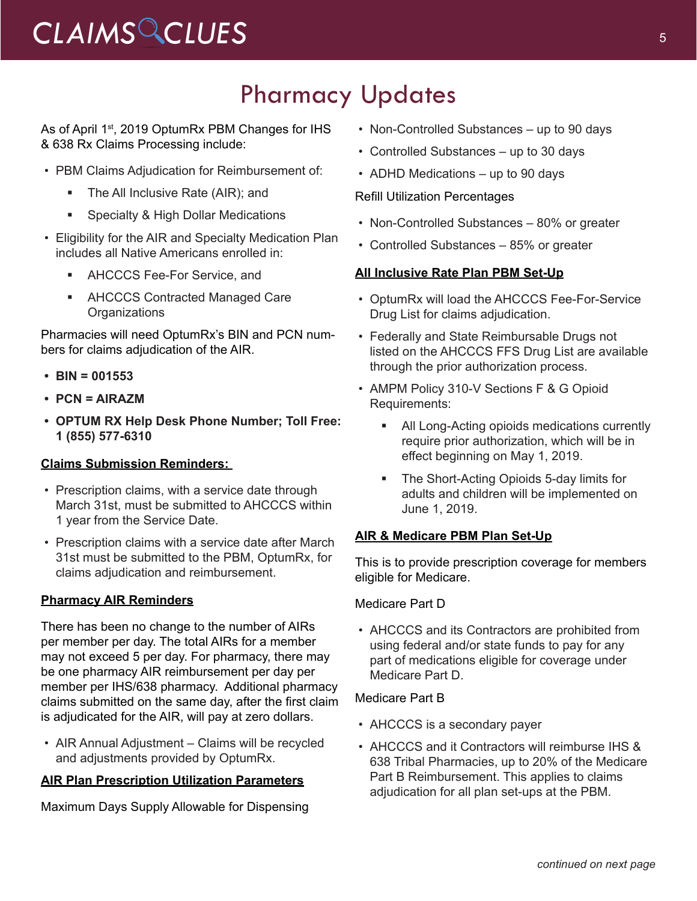## Pharmacy Updates

As of April 1<sup>st</sup>, 2019 OptumRx PBM Changes for IHS & 638 Rx Claims Processing include:

- PBM Claims Adjudication for Reimbursement of:
	- The All Inclusive Rate (AIR); and
	- Specialty & High Dollar Medications
- Eligibility for the AIR and Specialty Medication Plan includes all Native Americans enrolled in:
	- **AHCCCS Fee-For Service, and**
	- AHCCCS Contracted Managed Care **Organizations**

Pharmacies will need OptumRx's BIN and PCN numbers for claims adjudication of the AIR.

- **• BIN = 001553**
- **• PCN = AIRAZM**
- **• OPTUM RX Help Desk Phone Number; Toll Free: 1 (855) 577-6310**

### **Claims Submission Reminders:**

- Prescription claims, with a service date through March 31st, must be submitted to AHCCCS within 1 year from the Service Date.
- Prescription claims with a service date after March 31st must be submitted to the PBM, OptumRx, for claims adjudication and reimbursement.

### **Pharmacy AIR Reminders**

There has been no change to the number of AIRs per member per day. The total AIRs for a member may not exceed 5 per day. For pharmacy, there may be one pharmacy AIR reimbursement per day per member per IHS/638 pharmacy. Additional pharmacy claims submitted on the same day, after the first claim is adjudicated for the AIR, will pay at zero dollars.

• AIR Annual Adjustment – Claims will be recycled and adjustments provided by OptumRx.

### **AIR Plan Prescription Utilization Parameters**

Maximum Days Supply Allowable for Dispensing

- Non-Controlled Substances up to 90 days
- Controlled Substances up to 30 days
- ADHD Medications up to 90 days

### Refill Utilization Percentages

- Non-Controlled Substances 80% or greater
- Controlled Substances 85% or greater

### **All Inclusive Rate Plan PBM Set-Up**

- OptumRx will load the AHCCCS Fee-For-Service Drug List for claims adjudication.
- Federally and State Reimbursable Drugs not listed on the AHCCCS FFS Drug List are available through the prior authorization process.
- AMPM Policy 310-V Sections F & G Opioid Requirements:
	- All Long-Acting opioids medications currently require prior authorization, which will be in effect beginning on May 1, 2019.
	- The Short-Acting Opioids 5-day limits for adults and children will be implemented on June 1, 2019.

### **AIR & Medicare PBM Plan Set-Up**

This is to provide prescription coverage for members eligible for Medicare.

#### Medicare Part D

• AHCCCS and its Contractors are prohibited from using federal and/or state funds to pay for any part of medications eligible for coverage under Medicare Part D.

#### Medicare Part B

- AHCCCS is a secondary payer
- AHCCCS and it Contractors will reimburse IHS & 638 Tribal Pharmacies, up to 20% of the Medicare Part B Reimbursement. This applies to claims adjudication for all plan set-ups at the PBM.